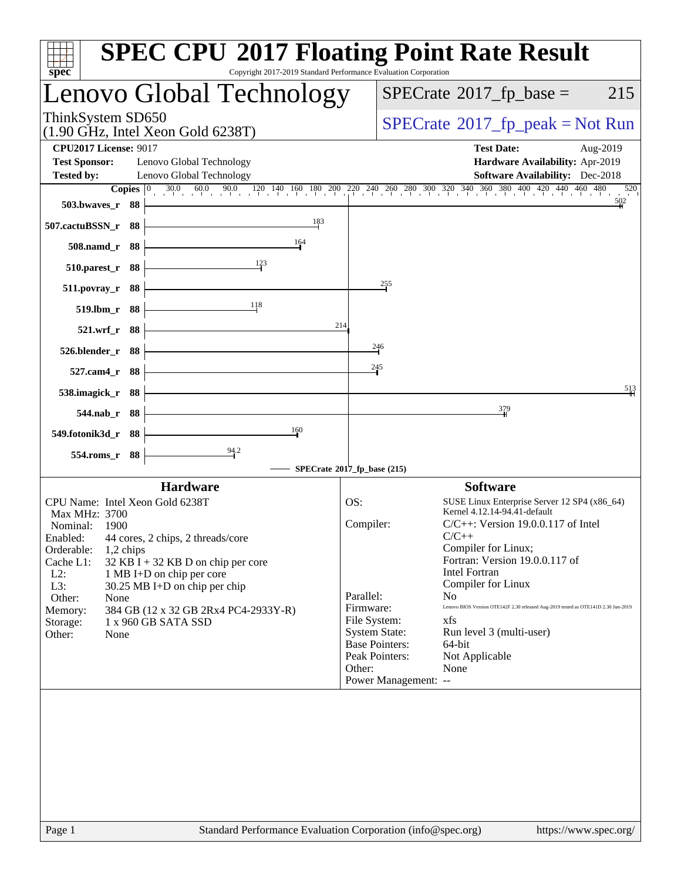| spec <sup>®</sup>                                                                                                                 | <b>SPEC CPU®2017 Floating Point Rate Result</b><br>Copyright 2017-2019 Standard Performance Evaluation Corporation                            |
|-----------------------------------------------------------------------------------------------------------------------------------|-----------------------------------------------------------------------------------------------------------------------------------------------|
| enovo Global Technology                                                                                                           | $SPECTate$ <sup>®</sup> 2017_fp_base =<br>215                                                                                                 |
| ThinkSystem SD650<br>$(1.90 \text{ GHz}, \text{Intel Xeon Gold } 6238 \text{T})$                                                  | $SPECrate^{\circ}2017rfp peak = Not Run$                                                                                                      |
| <b>CPU2017 License: 9017</b><br><b>Test Sponsor:</b><br>Lenovo Global Technology<br>Lenovo Global Technology<br><b>Tested by:</b> | <b>Test Date:</b><br>Aug-2019<br>Hardware Availability: Apr-2019<br><b>Software Availability:</b> Dec-2018                                    |
| Copies $ 0\rangle$                                                                                                                | $30.0$ $60.0$ $90.0$ $120$ $140$ $160$ $180$ $200$ $220$ $240$ $260$ $280$ $300$ $320$ $340$ $360$ $380$ $400$ $420$ $440$ $460$ $480$<br>520 |
| 503.bwayes_r 88                                                                                                                   |                                                                                                                                               |
| 183<br>507.cactuBSSN_r 88                                                                                                         |                                                                                                                                               |
| 164<br>508.namd_r 88                                                                                                              |                                                                                                                                               |
| 123<br>510.parest_r 88                                                                                                            |                                                                                                                                               |
| 88<br>511.povray_r                                                                                                                | 255                                                                                                                                           |
| 118<br>519.lbm_r 88                                                                                                               |                                                                                                                                               |
| $521.$ wrf $_r$<br>- 88                                                                                                           | 214                                                                                                                                           |
| 526.blender_r 88                                                                                                                  | $\frac{246}{5}$                                                                                                                               |
| $527$ .cam4 $r$<br>- 88                                                                                                           | 245                                                                                                                                           |
| 538.imagick_r 88                                                                                                                  | $\frac{513}{5}$                                                                                                                               |
| 544.nab_r 88                                                                                                                      | 379                                                                                                                                           |
| 160                                                                                                                               |                                                                                                                                               |
| 549.fotonik3d_r 88<br>94.2                                                                                                        |                                                                                                                                               |
| 554.roms_r 88                                                                                                                     | SPECrate®2017_fp_base (215)                                                                                                                   |
| <b>Hardware</b>                                                                                                                   | <b>Software</b>                                                                                                                               |
| CPU Name: Intel Xeon Gold 6238T                                                                                                   | OS:<br>SUSE Linux Enterprise Server 12 SP4 (x86_64)                                                                                           |
| Max MHz: 3700<br>Nominal:<br>1900                                                                                                 | Kernel 4.12.14-94.41-default<br>Compiler:<br>$C/C++$ : Version 19.0.0.117 of Intel                                                            |
| Enabled: 44 cores, 2 chips, 2 threads/core                                                                                        | $C/C++$                                                                                                                                       |
| Orderable:<br>$1,2$ chips                                                                                                         | Compiler for Linux;                                                                                                                           |
| Cache L1:<br>$32$ KB I + 32 KB D on chip per core<br>$L2$ :<br>1 MB I+D on chip per core                                          | Fortran: Version 19.0.0.117 of<br><b>Intel Fortran</b>                                                                                        |
| L3:<br>30.25 MB I+D on chip per chip                                                                                              | Compiler for Linux                                                                                                                            |
| Other:<br>None                                                                                                                    | Parallel:<br>N <sub>0</sub><br>Lenovo BIOS Version OTE142F 2.30 released Aug-2019 tested as OTE141D 2.30 Jun-2019                             |
| 384 GB (12 x 32 GB 2Rx4 PC4-2933Y-R)<br>Memory:<br>1 x 960 GB SATA SSD                                                            | Firmware:<br>File System:<br>xfs                                                                                                              |
| Storage:<br>Other:<br>None                                                                                                        | <b>System State:</b><br>Run level 3 (multi-user)                                                                                              |
|                                                                                                                                   | <b>Base Pointers:</b><br>64-bit                                                                                                               |
|                                                                                                                                   | Peak Pointers:<br>Not Applicable<br>Other:                                                                                                    |
|                                                                                                                                   | None<br>Power Management: --                                                                                                                  |
|                                                                                                                                   |                                                                                                                                               |
| Page 1                                                                                                                            | Standard Performance Evaluation Corporation (info@spec.org)<br>https://www.spec.org/                                                          |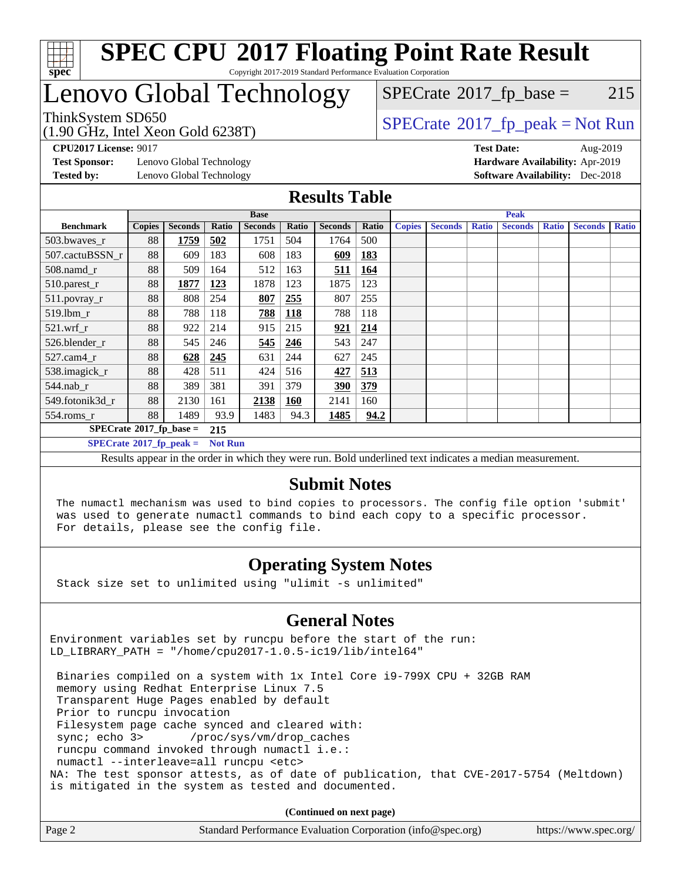

## Lenovo Global Technology

 $SPECTate$ <sup>®</sup>[2017\\_fp\\_base =](http://www.spec.org/auto/cpu2017/Docs/result-fields.html#SPECrate2017fpbase) 215

#### (1.90 GHz, Intel Xeon Gold 6238T) ThinkSystem SD650<br>(1.00 GHz, Intel Year Gald 6238T) [SPECrate](http://www.spec.org/auto/cpu2017/Docs/result-fields.html#SPECrate2017fppeak)®[2017\\_fp\\_peak = N](http://www.spec.org/auto/cpu2017/Docs/result-fields.html#SPECrate2017fppeak)ot Run

**[Test Sponsor:](http://www.spec.org/auto/cpu2017/Docs/result-fields.html#TestSponsor)** Lenovo Global Technology **[Hardware Availability:](http://www.spec.org/auto/cpu2017/Docs/result-fields.html#HardwareAvailability)** Apr-2019 **[Tested by:](http://www.spec.org/auto/cpu2017/Docs/result-fields.html#Testedby)** Lenovo Global Technology **[Software Availability:](http://www.spec.org/auto/cpu2017/Docs/result-fields.html#SoftwareAvailability)** Dec-2018

**[CPU2017 License:](http://www.spec.org/auto/cpu2017/Docs/result-fields.html#CPU2017License)** 9017 **[Test Date:](http://www.spec.org/auto/cpu2017/Docs/result-fields.html#TestDate)** Aug-2019

**[Results Table](http://www.spec.org/auto/cpu2017/Docs/result-fields.html#ResultsTable)**

|                                  |               |                |                | <b>Base</b>    |            |                |            |               |                |              | <b>Peak</b>    |              |                |              |
|----------------------------------|---------------|----------------|----------------|----------------|------------|----------------|------------|---------------|----------------|--------------|----------------|--------------|----------------|--------------|
| <b>Benchmark</b>                 | <b>Copies</b> | <b>Seconds</b> | Ratio          | <b>Seconds</b> | Ratio      | <b>Seconds</b> | Ratio      | <b>Copies</b> | <b>Seconds</b> | <b>Ratio</b> | <b>Seconds</b> | <b>Ratio</b> | <b>Seconds</b> | <b>Ratio</b> |
| 503.bwaves_r                     | 88            | 1759           | 502            | 1751           | 504        | 1764           | 500        |               |                |              |                |              |                |              |
| 507.cactuBSSN r                  | 88            | 609            | 183            | 608            | 183        | 609            | 183        |               |                |              |                |              |                |              |
| $508$ .namd $r$                  | 88            | 509            | 164            | 512            | 163        | 511            | 164        |               |                |              |                |              |                |              |
| 510.parest_r                     | 88            | 1877           | 123            | 1878           | 123        | 1875           | 123        |               |                |              |                |              |                |              |
| 511.povray_r                     | 88            | 808            | 254            | 807            | 255        | 807            | 255        |               |                |              |                |              |                |              |
| 519.lbm r                        | 88            | 788            | 118            | 788            | <b>118</b> | 788            | 118        |               |                |              |                |              |                |              |
| $521$ .wrf r                     | 88            | 922            | 214            | 915            | 215        | 921            | <u>214</u> |               |                |              |                |              |                |              |
| 526.blender r                    | 88            | 545            | 246            | 545            | <u>246</u> | 543            | 247        |               |                |              |                |              |                |              |
| $527$ .cam $4r$                  | 88            | 628            | 245            | 631            | 244        | 627            | 245        |               |                |              |                |              |                |              |
| 538.imagick_r                    | 88            | 428            | 511            | 424            | 516        | 427            | 513        |               |                |              |                |              |                |              |
| $544$ .nab_r                     | 88            | 389            | 381            | 391            | 379        | 390            | 379        |               |                |              |                |              |                |              |
| 549.fotonik3d r                  | 88            | 2130           | 161            | 2138           | 160        | 2141           | 160        |               |                |              |                |              |                |              |
| $554$ .roms_r                    | 88            | 1489           | 93.9           | 1483           | 94.3       | 1485           | 94.2       |               |                |              |                |              |                |              |
| $SPECrate^{\circ}2017$ fp base = |               |                | 215            |                |            |                |            |               |                |              |                |              |                |              |
| $SPECrate^{\circ}2017$ fp peak = |               |                | <b>Not Run</b> |                |            |                |            |               |                |              |                |              |                |              |

Results appear in the [order in which they were run.](http://www.spec.org/auto/cpu2017/Docs/result-fields.html#RunOrder) Bold underlined text [indicates a median measurement.](http://www.spec.org/auto/cpu2017/Docs/result-fields.html#Median)

### **[Submit Notes](http://www.spec.org/auto/cpu2017/Docs/result-fields.html#SubmitNotes)**

 The numactl mechanism was used to bind copies to processors. The config file option 'submit' was used to generate numactl commands to bind each copy to a specific processor. For details, please see the config file.

### **[Operating System Notes](http://www.spec.org/auto/cpu2017/Docs/result-fields.html#OperatingSystemNotes)**

Stack size set to unlimited using "ulimit -s unlimited"

### **[General Notes](http://www.spec.org/auto/cpu2017/Docs/result-fields.html#GeneralNotes)**

Environment variables set by runcpu before the start of the run: LD\_LIBRARY\_PATH = "/home/cpu2017-1.0.5-ic19/lib/intel64"

 Binaries compiled on a system with 1x Intel Core i9-799X CPU + 32GB RAM memory using Redhat Enterprise Linux 7.5 Transparent Huge Pages enabled by default Prior to runcpu invocation Filesystem page cache synced and cleared with: sync; echo 3> /proc/sys/vm/drop\_caches runcpu command invoked through numactl i.e.: numactl --interleave=all runcpu <etc> NA: The test sponsor attests, as of date of publication, that CVE-2017-5754 (Meltdown) is mitigated in the system as tested and documented.

**(Continued on next page)**

| Page 2 | Standard Performance Evaluation Corporation (info@spec.org) | https://www.spec.org/ |
|--------|-------------------------------------------------------------|-----------------------|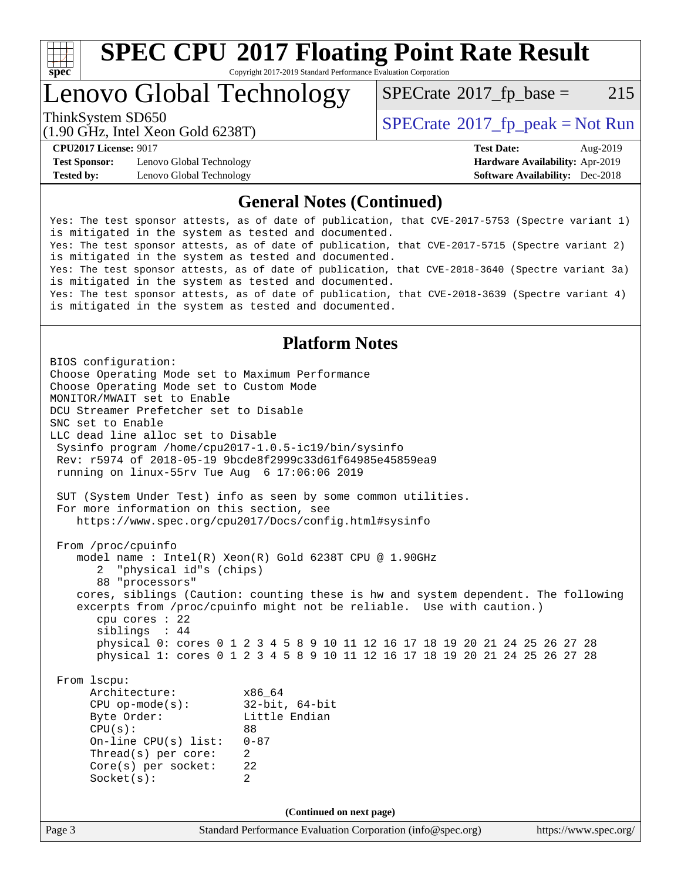

# **[SPEC CPU](http://www.spec.org/auto/cpu2017/Docs/result-fields.html#SPECCPU2017FloatingPointRateResult)[2017 Floating Point Rate Result](http://www.spec.org/auto/cpu2017/Docs/result-fields.html#SPECCPU2017FloatingPointRateResult)**

Copyright 2017-2019 Standard Performance Evaluation Corporation

Lenovo Global Technology

 $SPECTate$ <sup>®</sup>[2017\\_fp\\_base =](http://www.spec.org/auto/cpu2017/Docs/result-fields.html#SPECrate2017fpbase) 215

(1.90 GHz, Intel Xeon Gold 6238T)

ThinkSystem SD650  $SPECrate@2017_fp\_peak = Not Run$  $SPECrate@2017_fp\_peak = Not Run$ 

**[Test Sponsor:](http://www.spec.org/auto/cpu2017/Docs/result-fields.html#TestSponsor)** Lenovo Global Technology **[Hardware Availability:](http://www.spec.org/auto/cpu2017/Docs/result-fields.html#HardwareAvailability)** Apr-2019 **[Tested by:](http://www.spec.org/auto/cpu2017/Docs/result-fields.html#Testedby)** Lenovo Global Technology **[Software Availability:](http://www.spec.org/auto/cpu2017/Docs/result-fields.html#SoftwareAvailability)** Dec-2018

**[CPU2017 License:](http://www.spec.org/auto/cpu2017/Docs/result-fields.html#CPU2017License)** 9017 **[Test Date:](http://www.spec.org/auto/cpu2017/Docs/result-fields.html#TestDate)** Aug-2019

### **[General Notes \(Continued\)](http://www.spec.org/auto/cpu2017/Docs/result-fields.html#GeneralNotes)**

Yes: The test sponsor attests, as of date of publication, that CVE-2017-5753 (Spectre variant 1) is mitigated in the system as tested and documented. Yes: The test sponsor attests, as of date of publication, that CVE-2017-5715 (Spectre variant 2) is mitigated in the system as tested and documented. Yes: The test sponsor attests, as of date of publication, that CVE-2018-3640 (Spectre variant 3a) is mitigated in the system as tested and documented. Yes: The test sponsor attests, as of date of publication, that CVE-2018-3639 (Spectre variant 4) is mitigated in the system as tested and documented.

### **[Platform Notes](http://www.spec.org/auto/cpu2017/Docs/result-fields.html#PlatformNotes)**

Page 3 Standard Performance Evaluation Corporation [\(info@spec.org\)](mailto:info@spec.org) <https://www.spec.org/> BIOS configuration: Choose Operating Mode set to Maximum Performance Choose Operating Mode set to Custom Mode MONITOR/MWAIT set to Enable DCU Streamer Prefetcher set to Disable SNC set to Enable LLC dead line alloc set to Disable Sysinfo program /home/cpu2017-1.0.5-ic19/bin/sysinfo Rev: r5974 of 2018-05-19 9bcde8f2999c33d61f64985e45859ea9 running on linux-55rv Tue Aug 6 17:06:06 2019 SUT (System Under Test) info as seen by some common utilities. For more information on this section, see <https://www.spec.org/cpu2017/Docs/config.html#sysinfo> From /proc/cpuinfo model name : Intel(R) Xeon(R) Gold 6238T CPU @ 1.90GHz 2 "physical id"s (chips) 88 "processors" cores, siblings (Caution: counting these is hw and system dependent. The following excerpts from /proc/cpuinfo might not be reliable. Use with caution.) cpu cores : 22 siblings : 44 physical 0: cores 0 1 2 3 4 5 8 9 10 11 12 16 17 18 19 20 21 24 25 26 27 28 physical 1: cores 0 1 2 3 4 5 8 9 10 11 12 16 17 18 19 20 21 24 25 26 27 28 From lscpu: Architecture: x86\_64 CPU op-mode(s): 32-bit, 64-bit Byte Order: Little Endian CPU(s): 88 On-line CPU(s) list: 0-87 Thread(s) per core: 2 Core(s) per socket: 22 Socket(s): 2 **(Continued on next page)**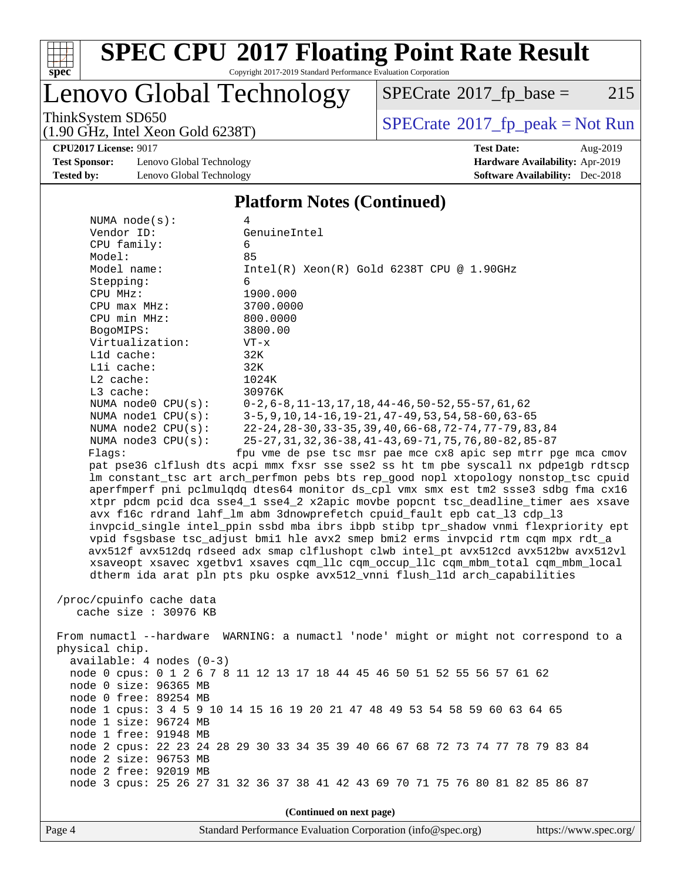

# **[SPEC CPU](http://www.spec.org/auto/cpu2017/Docs/result-fields.html#SPECCPU2017FloatingPointRateResult)[2017 Floating Point Rate Result](http://www.spec.org/auto/cpu2017/Docs/result-fields.html#SPECCPU2017FloatingPointRateResult)**

Copyright 2017-2019 Standard Performance Evaluation Corporation

## Lenovo Global Technology

 $SPECTate@2017_fp\_base = 215$ 

(1.90 GHz, Intel Xeon Gold 6238T)

ThinkSystem SD650<br>(1.90 GHz, Intel Xeon Gold 6238T) [SPECrate](http://www.spec.org/auto/cpu2017/Docs/result-fields.html#SPECrate2017fppeak)®[2017\\_fp\\_peak = N](http://www.spec.org/auto/cpu2017/Docs/result-fields.html#SPECrate2017fppeak)ot Run

**[CPU2017 License:](http://www.spec.org/auto/cpu2017/Docs/result-fields.html#CPU2017License)** 9017 **[Test Date:](http://www.spec.org/auto/cpu2017/Docs/result-fields.html#TestDate)** Aug-2019

**[Test Sponsor:](http://www.spec.org/auto/cpu2017/Docs/result-fields.html#TestSponsor)** Lenovo Global Technology **[Hardware Availability:](http://www.spec.org/auto/cpu2017/Docs/result-fields.html#HardwareAvailability)** Apr-2019 **[Tested by:](http://www.spec.org/auto/cpu2017/Docs/result-fields.html#Testedby)** Lenovo Global Technology **[Software Availability:](http://www.spec.org/auto/cpu2017/Docs/result-fields.html#SoftwareAvailability)** Dec-2018

### **[Platform Notes \(Continued\)](http://www.spec.org/auto/cpu2017/Docs/result-fields.html#PlatformNotes)**

| NUMA $node(s):$            | 4                                                                                    |
|----------------------------|--------------------------------------------------------------------------------------|
| Vendor ID:                 | GenuineIntel                                                                         |
| CPU family:                | 6                                                                                    |
| Model:                     | 85                                                                                   |
| Model name:                | $Intel(R) Xeon(R) Gold 6238T CPU @ 1.90GHz$                                          |
| Stepping:                  | 6                                                                                    |
| CPU MHz:                   | 1900.000                                                                             |
| $CPU$ $max$ $MHz$ :        | 3700.0000                                                                            |
| CPU min MHz:               | 800.0000                                                                             |
| BogoMIPS:                  | 3800.00                                                                              |
| Virtualization:            | $VT - x$                                                                             |
| Lld cache:<br>Lli cache:   | 32K                                                                                  |
| $L2$ cache:                | 32K<br>1024K                                                                         |
| L3 cache:                  | 30976K                                                                               |
| NUMA node0 CPU(s):         | $0-2, 6-8, 11-13, 17, 18, 44-46, 50-52, 55-57, 61, 62$                               |
| NUMA nodel CPU(s):         | $3-5, 9, 10, 14-16, 19-21, 47-49, 53, 54, 58-60, 63-65$                              |
| NUMA $node2$ $CPU(s)$ :    | 22-24, 28-30, 33-35, 39, 40, 66-68, 72-74, 77-79, 83, 84                             |
| NUMA node3 CPU(s):         | 25-27, 31, 32, 36-38, 41-43, 69-71, 75, 76, 80-82, 85-87                             |
| Flags:                     | fpu vme de pse tsc msr pae mce cx8 apic sep mtrr pge mca cmov                        |
|                            | pat pse36 clflush dts acpi mmx fxsr sse sse2 ss ht tm pbe syscall nx pdpe1gb rdtscp  |
|                            | lm constant_tsc art arch_perfmon pebs bts rep_good nopl xtopology nonstop_tsc cpuid  |
|                            | aperfmperf pni pclmulqdq dtes64 monitor ds_cpl vmx smx est tm2 ssse3 sdbg fma cx16   |
|                            | xtpr pdcm pcid dca sse4_1 sse4_2 x2apic movbe popcnt tsc_deadline_timer aes xsave    |
|                            | avx f16c rdrand lahf_lm abm 3dnowprefetch cpuid_fault epb cat_13 cdp_13              |
|                            | invpcid_single intel_ppin ssbd mba ibrs ibpb stibp tpr_shadow vnmi flexpriority ept  |
|                            | vpid fsgsbase tsc_adjust bmil hle avx2 smep bmi2 erms invpcid rtm cqm mpx rdt_a      |
|                            | avx512f avx512dq rdseed adx smap clflushopt clwb intel_pt avx512cd avx512bw avx512vl |
|                            | xsaveopt xsavec xgetbvl xsaves cqm_llc cqm_occup_llc cqm_mbm_total cqm_mbm_local     |
|                            | dtherm ida arat pln pts pku ospke avx512_vnni flush_lld arch_capabilities            |
|                            |                                                                                      |
| /proc/cpuinfo cache data   |                                                                                      |
| cache size : 30976 KB      |                                                                                      |
|                            |                                                                                      |
|                            | From numactl --hardware WARNING: a numactl 'node' might or might not correspond to a |
| physical chip.             |                                                                                      |
| $available: 4 nodes (0-3)$ |                                                                                      |
|                            | node 0 cpus: 0 1 2 6 7 8 11 12 13 17 18 44 45 46 50 51 52 55 56 57 61 62             |
| node 0 size: 96365 MB      |                                                                                      |
| node 0 free: 89254 MB      |                                                                                      |
|                            | node 1 cpus: 3 4 5 9 10 14 15 16 19 20 21 47 48 49 53 54 58 59 60 63 64 65           |
| node 1 size: 96724 MB      |                                                                                      |
| node 1 free: 91948 MB      | node 2 cpus: 22 23 24 28 29 30 33 34 35 39 40 66 67 68 72 73 74 77 78 79 83 84       |
| node 2 size: 96753 MB      |                                                                                      |
| node 2 free: 92019 MB      |                                                                                      |
|                            | node 3 cpus: 25 26 27 31 32 36 37 38 41 42 43 69 70 71 75 76 80 81 82 85 86 87       |
|                            |                                                                                      |
|                            |                                                                                      |
|                            | (Continued on next page)                                                             |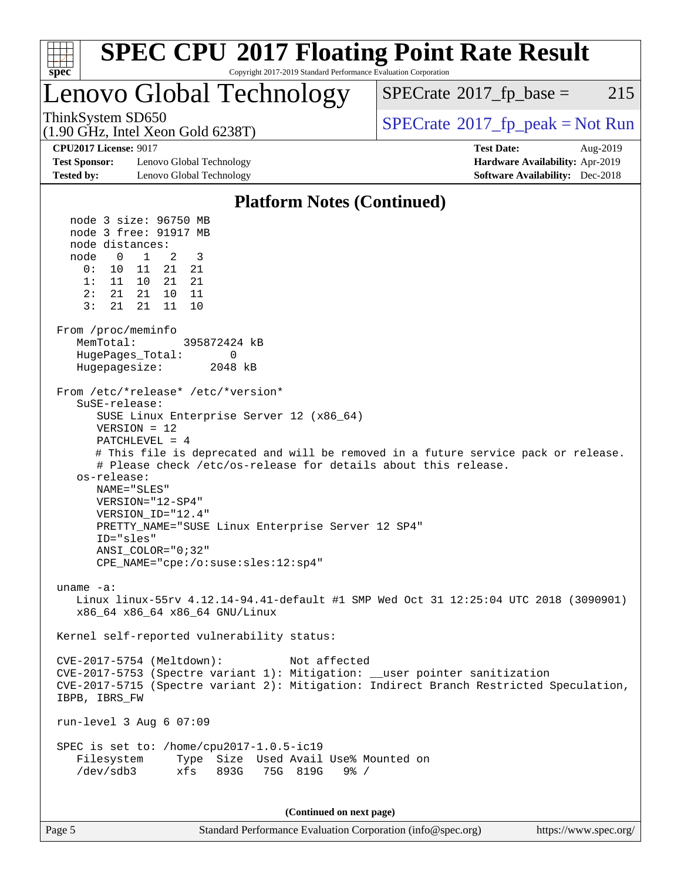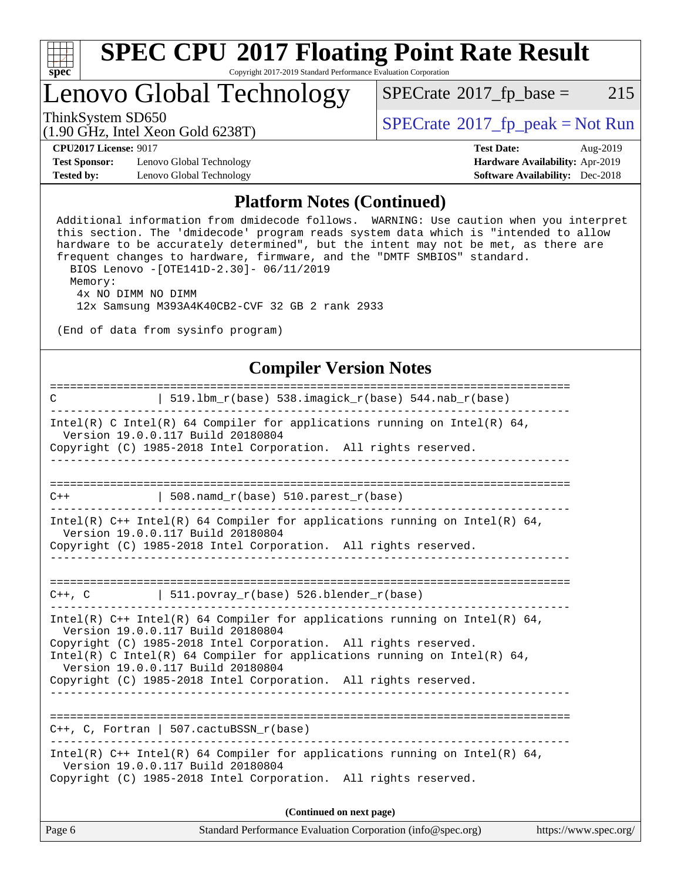

# Lenovo Global Technology<br>ThinkSystem SD650

 $SPECTate@2017_fp\_base = 215$ 

(1.90 GHz, Intel Xeon Gold 6238T)

 $SPECTate@2017<sub>fr</sub> peak = Not Run$ 

**[CPU2017 License:](http://www.spec.org/auto/cpu2017/Docs/result-fields.html#CPU2017License)** 9017 **[Test Date:](http://www.spec.org/auto/cpu2017/Docs/result-fields.html#TestDate)** Aug-2019

**[Test Sponsor:](http://www.spec.org/auto/cpu2017/Docs/result-fields.html#TestSponsor)** Lenovo Global Technology **[Hardware Availability:](http://www.spec.org/auto/cpu2017/Docs/result-fields.html#HardwareAvailability)** Apr-2019 **[Tested by:](http://www.spec.org/auto/cpu2017/Docs/result-fields.html#Testedby)** Lenovo Global Technology **[Software Availability:](http://www.spec.org/auto/cpu2017/Docs/result-fields.html#SoftwareAvailability)** Dec-2018

### **[Platform Notes \(Continued\)](http://www.spec.org/auto/cpu2017/Docs/result-fields.html#PlatformNotes)**

 Additional information from dmidecode follows. WARNING: Use caution when you interpret this section. The 'dmidecode' program reads system data which is "intended to allow hardware to be accurately determined", but the intent may not be met, as there are frequent changes to hardware, firmware, and the "DMTF SMBIOS" standard. BIOS Lenovo -[OTE141D-2.30]- 06/11/2019 Memory: 4x NO DIMM NO DIMM 12x Samsung M393A4K40CB2-CVF 32 GB 2 rank 2933 (End of data from sysinfo program)

### **[Compiler Version Notes](http://www.spec.org/auto/cpu2017/Docs/result-fields.html#CompilerVersionNotes)**

| $\mathbb{C}$ | $519.1bm_r(base) 538.imagick_r(base) 544. nab_r(base)$                                                                                                                                                                                                                                                                                                                   |                       |
|--------------|--------------------------------------------------------------------------------------------------------------------------------------------------------------------------------------------------------------------------------------------------------------------------------------------------------------------------------------------------------------------------|-----------------------|
|              | Intel(R) C Intel(R) 64 Compiler for applications running on Intel(R) 64,<br>Version 19.0.0.117 Build 20180804<br>Copyright (C) 1985-2018 Intel Corporation. All rights reserved.                                                                                                                                                                                         |                       |
|              | ____________                                                                                                                                                                                                                                                                                                                                                             |                       |
| $C++$        | $ $ 508.namd_r(base) 510.parest_r(base)                                                                                                                                                                                                                                                                                                                                  |                       |
|              | Intel(R) $C++$ Intel(R) 64 Compiler for applications running on Intel(R) 64,<br>Version 19.0.0.117 Build 20180804                                                                                                                                                                                                                                                        |                       |
|              | Copyright (C) 1985-2018 Intel Corporation. All rights reserved.                                                                                                                                                                                                                                                                                                          |                       |
|              |                                                                                                                                                                                                                                                                                                                                                                          |                       |
|              | $C++$ , C $\qquad \qquad$ 511.povray_r(base) 526.blender_r(base)                                                                                                                                                                                                                                                                                                         |                       |
|              | Intel(R) $C++$ Intel(R) 64 Compiler for applications running on Intel(R) 64,<br>Version 19.0.0.117 Build 20180804<br>Copyright (C) 1985-2018 Intel Corporation. All rights reserved.<br>Intel(R) C Intel(R) 64 Compiler for applications running on Intel(R) 64,<br>Version 19.0.0.117 Build 20180804<br>Copyright (C) 1985-2018 Intel Corporation. All rights reserved. |                       |
|              |                                                                                                                                                                                                                                                                                                                                                                          |                       |
|              | $C++$ , C, Fortran   507.cactuBSSN_r(base)                                                                                                                                                                                                                                                                                                                               |                       |
|              | Intel(R) $C++$ Intel(R) 64 Compiler for applications running on Intel(R) 64,<br>Version 19.0.0.117 Build 20180804<br>Copyright (C) 1985-2018 Intel Corporation. All rights reserved.                                                                                                                                                                                     |                       |
|              | (Continued on next page)                                                                                                                                                                                                                                                                                                                                                 |                       |
| Page 6       | Standard Performance Evaluation Corporation (info@spec.org)                                                                                                                                                                                                                                                                                                              | https://www.spec.org/ |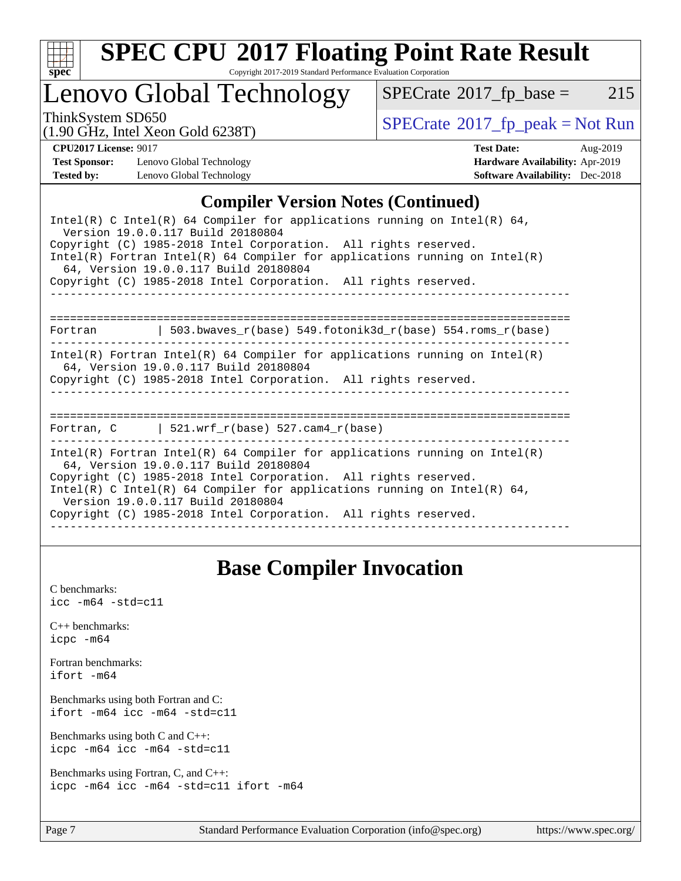

# **[SPEC CPU](http://www.spec.org/auto/cpu2017/Docs/result-fields.html#SPECCPU2017FloatingPointRateResult)[2017 Floating Point Rate Result](http://www.spec.org/auto/cpu2017/Docs/result-fields.html#SPECCPU2017FloatingPointRateResult)**

Copyright 2017-2019 Standard Performance Evaluation Corporation

## Lenovo Global Technology

 $SPECTate@2017_fp\_base = 215$ 

(1.90 GHz, Intel Xeon Gold 6238T)

ThinkSystem SD650<br>(1.00 GHz, Intel Year Gold 6238T) [SPECrate](http://www.spec.org/auto/cpu2017/Docs/result-fields.html#SPECrate2017fppeak)®[2017\\_fp\\_peak = N](http://www.spec.org/auto/cpu2017/Docs/result-fields.html#SPECrate2017fppeak)ot Run

**[Test Sponsor:](http://www.spec.org/auto/cpu2017/Docs/result-fields.html#TestSponsor)** Lenovo Global Technology **[Hardware Availability:](http://www.spec.org/auto/cpu2017/Docs/result-fields.html#HardwareAvailability)** Apr-2019 **[Tested by:](http://www.spec.org/auto/cpu2017/Docs/result-fields.html#Testedby)** Lenovo Global Technology **[Software Availability:](http://www.spec.org/auto/cpu2017/Docs/result-fields.html#SoftwareAvailability)** Dec-2018

**[CPU2017 License:](http://www.spec.org/auto/cpu2017/Docs/result-fields.html#CPU2017License)** 9017 **[Test Date:](http://www.spec.org/auto/cpu2017/Docs/result-fields.html#TestDate)** Aug-2019

### **[Compiler Version Notes \(Continued\)](http://www.spec.org/auto/cpu2017/Docs/result-fields.html#CompilerVersionNotes)**

| Intel(R) C Intel(R) 64 Compiler for applications running on Intel(R) 64,<br>Version 19.0.0.117 Build 20180804<br>Copyright (C) 1985-2018 Intel Corporation. All rights reserved.<br>$Intel(R)$ Fortran Intel(R) 64 Compiler for applications running on Intel(R)<br>64, Version 19.0.0.117 Build 20180804<br>Copyright (C) 1985-2018 Intel Corporation. All rights reserved. |
|------------------------------------------------------------------------------------------------------------------------------------------------------------------------------------------------------------------------------------------------------------------------------------------------------------------------------------------------------------------------------|
| Fortran $\vert$ 503.bwaves r(base) 549.fotonik3d r(base) 554.roms r(base)                                                                                                                                                                                                                                                                                                    |
| Intel(R) Fortran Intel(R) 64 Compiler for applications running on Intel(R)<br>64, Version 19.0.0.117 Build 20180804<br>Copyright (C) 1985-2018 Intel Corporation. All rights reserved.                                                                                                                                                                                       |
| Fortran, $C$   521.wrf $r(base)$ 527.cam4 $r(base)$                                                                                                                                                                                                                                                                                                                          |
| Intel(R) Fortran Intel(R) 64 Compiler for applications running on Intel(R)<br>64, Version 19.0.0.117 Build 20180804<br>Copyright (C) 1985-2018 Intel Corporation. All rights reserved.<br>Intel(R) C Intel(R) 64 Compiler for applications running on Intel(R) 64,<br>Version 19.0.0.117 Build 20180804<br>Copyright (C) 1985-2018 Intel Corporation. All rights reserved.   |

### **[Base Compiler Invocation](http://www.spec.org/auto/cpu2017/Docs/result-fields.html#BaseCompilerInvocation)**

[C benchmarks](http://www.spec.org/auto/cpu2017/Docs/result-fields.html#Cbenchmarks):  $\text{icc}$  -m64 -std=c11 [C++ benchmarks:](http://www.spec.org/auto/cpu2017/Docs/result-fields.html#CXXbenchmarks) [icpc -m64](http://www.spec.org/cpu2017/results/res2019q3/cpu2017-20190819-16961.flags.html#user_CXXbase_intel_icpc_64bit_4ecb2543ae3f1412ef961e0650ca070fec7b7afdcd6ed48761b84423119d1bf6bdf5cad15b44d48e7256388bc77273b966e5eb805aefd121eb22e9299b2ec9d9) [Fortran benchmarks](http://www.spec.org/auto/cpu2017/Docs/result-fields.html#Fortranbenchmarks): [ifort -m64](http://www.spec.org/cpu2017/results/res2019q3/cpu2017-20190819-16961.flags.html#user_FCbase_intel_ifort_64bit_24f2bb282fbaeffd6157abe4f878425411749daecae9a33200eee2bee2fe76f3b89351d69a8130dd5949958ce389cf37ff59a95e7a40d588e8d3a57e0c3fd751) [Benchmarks using both Fortran and C](http://www.spec.org/auto/cpu2017/Docs/result-fields.html#BenchmarksusingbothFortranandC): [ifort -m64](http://www.spec.org/cpu2017/results/res2019q3/cpu2017-20190819-16961.flags.html#user_CC_FCbase_intel_ifort_64bit_24f2bb282fbaeffd6157abe4f878425411749daecae9a33200eee2bee2fe76f3b89351d69a8130dd5949958ce389cf37ff59a95e7a40d588e8d3a57e0c3fd751) [icc -m64 -std=c11](http://www.spec.org/cpu2017/results/res2019q3/cpu2017-20190819-16961.flags.html#user_CC_FCbase_intel_icc_64bit_c11_33ee0cdaae7deeeab2a9725423ba97205ce30f63b9926c2519791662299b76a0318f32ddfffdc46587804de3178b4f9328c46fa7c2b0cd779d7a61945c91cd35) [Benchmarks using both C and C++](http://www.spec.org/auto/cpu2017/Docs/result-fields.html#BenchmarksusingbothCandCXX): [icpc -m64](http://www.spec.org/cpu2017/results/res2019q3/cpu2017-20190819-16961.flags.html#user_CC_CXXbase_intel_icpc_64bit_4ecb2543ae3f1412ef961e0650ca070fec7b7afdcd6ed48761b84423119d1bf6bdf5cad15b44d48e7256388bc77273b966e5eb805aefd121eb22e9299b2ec9d9) [icc -m64 -std=c11](http://www.spec.org/cpu2017/results/res2019q3/cpu2017-20190819-16961.flags.html#user_CC_CXXbase_intel_icc_64bit_c11_33ee0cdaae7deeeab2a9725423ba97205ce30f63b9926c2519791662299b76a0318f32ddfffdc46587804de3178b4f9328c46fa7c2b0cd779d7a61945c91cd35) [Benchmarks using Fortran, C, and C++:](http://www.spec.org/auto/cpu2017/Docs/result-fields.html#BenchmarksusingFortranCandCXX) [icpc -m64](http://www.spec.org/cpu2017/results/res2019q3/cpu2017-20190819-16961.flags.html#user_CC_CXX_FCbase_intel_icpc_64bit_4ecb2543ae3f1412ef961e0650ca070fec7b7afdcd6ed48761b84423119d1bf6bdf5cad15b44d48e7256388bc77273b966e5eb805aefd121eb22e9299b2ec9d9) [icc -m64 -std=c11](http://www.spec.org/cpu2017/results/res2019q3/cpu2017-20190819-16961.flags.html#user_CC_CXX_FCbase_intel_icc_64bit_c11_33ee0cdaae7deeeab2a9725423ba97205ce30f63b9926c2519791662299b76a0318f32ddfffdc46587804de3178b4f9328c46fa7c2b0cd779d7a61945c91cd35) [ifort -m64](http://www.spec.org/cpu2017/results/res2019q3/cpu2017-20190819-16961.flags.html#user_CC_CXX_FCbase_intel_ifort_64bit_24f2bb282fbaeffd6157abe4f878425411749daecae9a33200eee2bee2fe76f3b89351d69a8130dd5949958ce389cf37ff59a95e7a40d588e8d3a57e0c3fd751)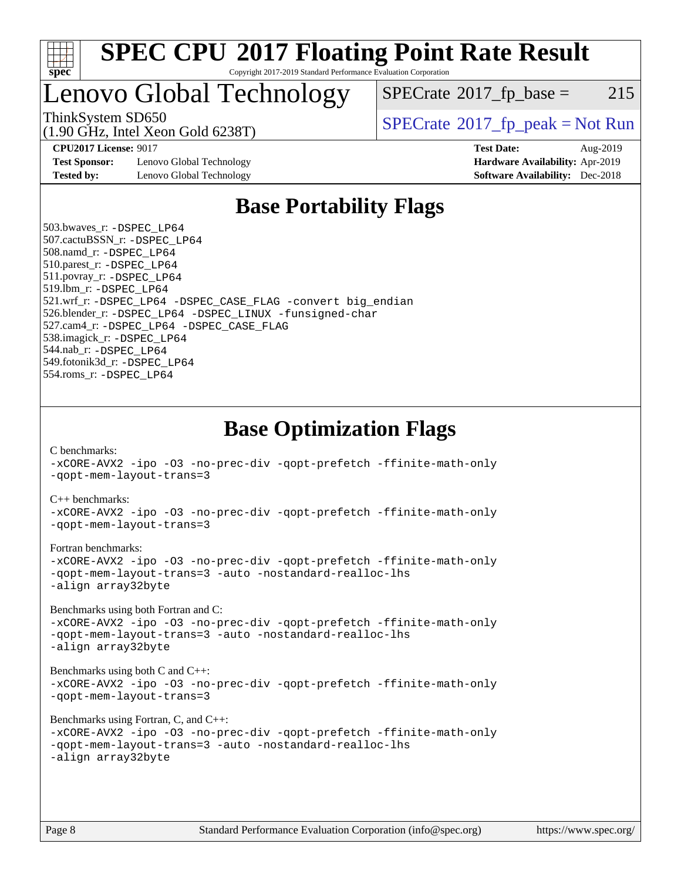

Lenovo Global Technology

 $SPECTate$ <sup>®</sup>[2017\\_fp\\_base =](http://www.spec.org/auto/cpu2017/Docs/result-fields.html#SPECrate2017fpbase) 215

(1.90 GHz, Intel Xeon Gold 6238T)

ThinkSystem SD650  $SPECrate^{\circ}2017$  $SPECrate^{\circ}2017$  fp\_peak = Not Run

**[Test Sponsor:](http://www.spec.org/auto/cpu2017/Docs/result-fields.html#TestSponsor)** Lenovo Global Technology **[Hardware Availability:](http://www.spec.org/auto/cpu2017/Docs/result-fields.html#HardwareAvailability)** Apr-2019 **[Tested by:](http://www.spec.org/auto/cpu2017/Docs/result-fields.html#Testedby)** Lenovo Global Technology **[Software Availability:](http://www.spec.org/auto/cpu2017/Docs/result-fields.html#SoftwareAvailability)** Dec-2018

**[CPU2017 License:](http://www.spec.org/auto/cpu2017/Docs/result-fields.html#CPU2017License)** 9017 **[Test Date:](http://www.spec.org/auto/cpu2017/Docs/result-fields.html#TestDate)** Aug-2019

## **[Base Portability Flags](http://www.spec.org/auto/cpu2017/Docs/result-fields.html#BasePortabilityFlags)**

 503.bwaves\_r: [-DSPEC\\_LP64](http://www.spec.org/cpu2017/results/res2019q3/cpu2017-20190819-16961.flags.html#suite_basePORTABILITY503_bwaves_r_DSPEC_LP64) 507.cactuBSSN\_r: [-DSPEC\\_LP64](http://www.spec.org/cpu2017/results/res2019q3/cpu2017-20190819-16961.flags.html#suite_basePORTABILITY507_cactuBSSN_r_DSPEC_LP64) 508.namd\_r: [-DSPEC\\_LP64](http://www.spec.org/cpu2017/results/res2019q3/cpu2017-20190819-16961.flags.html#suite_basePORTABILITY508_namd_r_DSPEC_LP64) 510.parest\_r: [-DSPEC\\_LP64](http://www.spec.org/cpu2017/results/res2019q3/cpu2017-20190819-16961.flags.html#suite_basePORTABILITY510_parest_r_DSPEC_LP64) 511.povray\_r: [-DSPEC\\_LP64](http://www.spec.org/cpu2017/results/res2019q3/cpu2017-20190819-16961.flags.html#suite_basePORTABILITY511_povray_r_DSPEC_LP64) 519.lbm\_r: [-DSPEC\\_LP64](http://www.spec.org/cpu2017/results/res2019q3/cpu2017-20190819-16961.flags.html#suite_basePORTABILITY519_lbm_r_DSPEC_LP64) 521.wrf\_r: [-DSPEC\\_LP64](http://www.spec.org/cpu2017/results/res2019q3/cpu2017-20190819-16961.flags.html#suite_basePORTABILITY521_wrf_r_DSPEC_LP64) [-DSPEC\\_CASE\\_FLAG](http://www.spec.org/cpu2017/results/res2019q3/cpu2017-20190819-16961.flags.html#b521.wrf_r_baseCPORTABILITY_DSPEC_CASE_FLAG) [-convert big\\_endian](http://www.spec.org/cpu2017/results/res2019q3/cpu2017-20190819-16961.flags.html#user_baseFPORTABILITY521_wrf_r_convert_big_endian_c3194028bc08c63ac5d04de18c48ce6d347e4e562e8892b8bdbdc0214820426deb8554edfa529a3fb25a586e65a3d812c835984020483e7e73212c4d31a38223) 526.blender\_r: [-DSPEC\\_LP64](http://www.spec.org/cpu2017/results/res2019q3/cpu2017-20190819-16961.flags.html#suite_basePORTABILITY526_blender_r_DSPEC_LP64) [-DSPEC\\_LINUX](http://www.spec.org/cpu2017/results/res2019q3/cpu2017-20190819-16961.flags.html#b526.blender_r_baseCPORTABILITY_DSPEC_LINUX) [-funsigned-char](http://www.spec.org/cpu2017/results/res2019q3/cpu2017-20190819-16961.flags.html#user_baseCPORTABILITY526_blender_r_force_uchar_40c60f00ab013830e2dd6774aeded3ff59883ba5a1fc5fc14077f794d777847726e2a5858cbc7672e36e1b067e7e5c1d9a74f7176df07886a243d7cc18edfe67) 527.cam4\_r: [-DSPEC\\_LP64](http://www.spec.org/cpu2017/results/res2019q3/cpu2017-20190819-16961.flags.html#suite_basePORTABILITY527_cam4_r_DSPEC_LP64) [-DSPEC\\_CASE\\_FLAG](http://www.spec.org/cpu2017/results/res2019q3/cpu2017-20190819-16961.flags.html#b527.cam4_r_baseCPORTABILITY_DSPEC_CASE_FLAG) 538.imagick\_r: [-DSPEC\\_LP64](http://www.spec.org/cpu2017/results/res2019q3/cpu2017-20190819-16961.flags.html#suite_basePORTABILITY538_imagick_r_DSPEC_LP64) 544.nab\_r: [-DSPEC\\_LP64](http://www.spec.org/cpu2017/results/res2019q3/cpu2017-20190819-16961.flags.html#suite_basePORTABILITY544_nab_r_DSPEC_LP64) 549.fotonik3d\_r: [-DSPEC\\_LP64](http://www.spec.org/cpu2017/results/res2019q3/cpu2017-20190819-16961.flags.html#suite_basePORTABILITY549_fotonik3d_r_DSPEC_LP64) 554.roms\_r: [-DSPEC\\_LP64](http://www.spec.org/cpu2017/results/res2019q3/cpu2017-20190819-16961.flags.html#suite_basePORTABILITY554_roms_r_DSPEC_LP64)

**[Base Optimization Flags](http://www.spec.org/auto/cpu2017/Docs/result-fields.html#BaseOptimizationFlags)**

[C benchmarks](http://www.spec.org/auto/cpu2017/Docs/result-fields.html#Cbenchmarks):

[-xCORE-AVX2](http://www.spec.org/cpu2017/results/res2019q3/cpu2017-20190819-16961.flags.html#user_CCbase_f-xCORE-AVX2) [-ipo](http://www.spec.org/cpu2017/results/res2019q3/cpu2017-20190819-16961.flags.html#user_CCbase_f-ipo) [-O3](http://www.spec.org/cpu2017/results/res2019q3/cpu2017-20190819-16961.flags.html#user_CCbase_f-O3) [-no-prec-div](http://www.spec.org/cpu2017/results/res2019q3/cpu2017-20190819-16961.flags.html#user_CCbase_f-no-prec-div) [-qopt-prefetch](http://www.spec.org/cpu2017/results/res2019q3/cpu2017-20190819-16961.flags.html#user_CCbase_f-qopt-prefetch) [-ffinite-math-only](http://www.spec.org/cpu2017/results/res2019q3/cpu2017-20190819-16961.flags.html#user_CCbase_f_finite_math_only_cb91587bd2077682c4b38af759c288ed7c732db004271a9512da14a4f8007909a5f1427ecbf1a0fb78ff2a814402c6114ac565ca162485bbcae155b5e4258871) [-qopt-mem-layout-trans=3](http://www.spec.org/cpu2017/results/res2019q3/cpu2017-20190819-16961.flags.html#user_CCbase_f-qopt-mem-layout-trans_de80db37974c74b1f0e20d883f0b675c88c3b01e9d123adea9b28688d64333345fb62bc4a798493513fdb68f60282f9a726aa07f478b2f7113531aecce732043) [C++ benchmarks:](http://www.spec.org/auto/cpu2017/Docs/result-fields.html#CXXbenchmarks) [-xCORE-AVX2](http://www.spec.org/cpu2017/results/res2019q3/cpu2017-20190819-16961.flags.html#user_CXXbase_f-xCORE-AVX2) [-ipo](http://www.spec.org/cpu2017/results/res2019q3/cpu2017-20190819-16961.flags.html#user_CXXbase_f-ipo) [-O3](http://www.spec.org/cpu2017/results/res2019q3/cpu2017-20190819-16961.flags.html#user_CXXbase_f-O3) [-no-prec-div](http://www.spec.org/cpu2017/results/res2019q3/cpu2017-20190819-16961.flags.html#user_CXXbase_f-no-prec-div) [-qopt-prefetch](http://www.spec.org/cpu2017/results/res2019q3/cpu2017-20190819-16961.flags.html#user_CXXbase_f-qopt-prefetch) [-ffinite-math-only](http://www.spec.org/cpu2017/results/res2019q3/cpu2017-20190819-16961.flags.html#user_CXXbase_f_finite_math_only_cb91587bd2077682c4b38af759c288ed7c732db004271a9512da14a4f8007909a5f1427ecbf1a0fb78ff2a814402c6114ac565ca162485bbcae155b5e4258871) [-qopt-mem-layout-trans=3](http://www.spec.org/cpu2017/results/res2019q3/cpu2017-20190819-16961.flags.html#user_CXXbase_f-qopt-mem-layout-trans_de80db37974c74b1f0e20d883f0b675c88c3b01e9d123adea9b28688d64333345fb62bc4a798493513fdb68f60282f9a726aa07f478b2f7113531aecce732043) [Fortran benchmarks](http://www.spec.org/auto/cpu2017/Docs/result-fields.html#Fortranbenchmarks): [-xCORE-AVX2](http://www.spec.org/cpu2017/results/res2019q3/cpu2017-20190819-16961.flags.html#user_FCbase_f-xCORE-AVX2) [-ipo](http://www.spec.org/cpu2017/results/res2019q3/cpu2017-20190819-16961.flags.html#user_FCbase_f-ipo) [-O3](http://www.spec.org/cpu2017/results/res2019q3/cpu2017-20190819-16961.flags.html#user_FCbase_f-O3) [-no-prec-div](http://www.spec.org/cpu2017/results/res2019q3/cpu2017-20190819-16961.flags.html#user_FCbase_f-no-prec-div) [-qopt-prefetch](http://www.spec.org/cpu2017/results/res2019q3/cpu2017-20190819-16961.flags.html#user_FCbase_f-qopt-prefetch) [-ffinite-math-only](http://www.spec.org/cpu2017/results/res2019q3/cpu2017-20190819-16961.flags.html#user_FCbase_f_finite_math_only_cb91587bd2077682c4b38af759c288ed7c732db004271a9512da14a4f8007909a5f1427ecbf1a0fb78ff2a814402c6114ac565ca162485bbcae155b5e4258871) [-qopt-mem-layout-trans=3](http://www.spec.org/cpu2017/results/res2019q3/cpu2017-20190819-16961.flags.html#user_FCbase_f-qopt-mem-layout-trans_de80db37974c74b1f0e20d883f0b675c88c3b01e9d123adea9b28688d64333345fb62bc4a798493513fdb68f60282f9a726aa07f478b2f7113531aecce732043) [-auto](http://www.spec.org/cpu2017/results/res2019q3/cpu2017-20190819-16961.flags.html#user_FCbase_f-auto) [-nostandard-realloc-lhs](http://www.spec.org/cpu2017/results/res2019q3/cpu2017-20190819-16961.flags.html#user_FCbase_f_2003_std_realloc_82b4557e90729c0f113870c07e44d33d6f5a304b4f63d4c15d2d0f1fab99f5daaed73bdb9275d9ae411527f28b936061aa8b9c8f2d63842963b95c9dd6426b8a) [-align array32byte](http://www.spec.org/cpu2017/results/res2019q3/cpu2017-20190819-16961.flags.html#user_FCbase_align_array32byte_b982fe038af199962ba9a80c053b8342c548c85b40b8e86eb3cc33dee0d7986a4af373ac2d51c3f7cf710a18d62fdce2948f201cd044323541f22fc0fffc51b6) [Benchmarks using both Fortran and C](http://www.spec.org/auto/cpu2017/Docs/result-fields.html#BenchmarksusingbothFortranandC): [-xCORE-AVX2](http://www.spec.org/cpu2017/results/res2019q3/cpu2017-20190819-16961.flags.html#user_CC_FCbase_f-xCORE-AVX2) [-ipo](http://www.spec.org/cpu2017/results/res2019q3/cpu2017-20190819-16961.flags.html#user_CC_FCbase_f-ipo) [-O3](http://www.spec.org/cpu2017/results/res2019q3/cpu2017-20190819-16961.flags.html#user_CC_FCbase_f-O3) [-no-prec-div](http://www.spec.org/cpu2017/results/res2019q3/cpu2017-20190819-16961.flags.html#user_CC_FCbase_f-no-prec-div) [-qopt-prefetch](http://www.spec.org/cpu2017/results/res2019q3/cpu2017-20190819-16961.flags.html#user_CC_FCbase_f-qopt-prefetch) [-ffinite-math-only](http://www.spec.org/cpu2017/results/res2019q3/cpu2017-20190819-16961.flags.html#user_CC_FCbase_f_finite_math_only_cb91587bd2077682c4b38af759c288ed7c732db004271a9512da14a4f8007909a5f1427ecbf1a0fb78ff2a814402c6114ac565ca162485bbcae155b5e4258871) [-qopt-mem-layout-trans=3](http://www.spec.org/cpu2017/results/res2019q3/cpu2017-20190819-16961.flags.html#user_CC_FCbase_f-qopt-mem-layout-trans_de80db37974c74b1f0e20d883f0b675c88c3b01e9d123adea9b28688d64333345fb62bc4a798493513fdb68f60282f9a726aa07f478b2f7113531aecce732043) [-auto](http://www.spec.org/cpu2017/results/res2019q3/cpu2017-20190819-16961.flags.html#user_CC_FCbase_f-auto) [-nostandard-realloc-lhs](http://www.spec.org/cpu2017/results/res2019q3/cpu2017-20190819-16961.flags.html#user_CC_FCbase_f_2003_std_realloc_82b4557e90729c0f113870c07e44d33d6f5a304b4f63d4c15d2d0f1fab99f5daaed73bdb9275d9ae411527f28b936061aa8b9c8f2d63842963b95c9dd6426b8a) [-align array32byte](http://www.spec.org/cpu2017/results/res2019q3/cpu2017-20190819-16961.flags.html#user_CC_FCbase_align_array32byte_b982fe038af199962ba9a80c053b8342c548c85b40b8e86eb3cc33dee0d7986a4af373ac2d51c3f7cf710a18d62fdce2948f201cd044323541f22fc0fffc51b6) [Benchmarks using both C and C++](http://www.spec.org/auto/cpu2017/Docs/result-fields.html#BenchmarksusingbothCandCXX): [-xCORE-AVX2](http://www.spec.org/cpu2017/results/res2019q3/cpu2017-20190819-16961.flags.html#user_CC_CXXbase_f-xCORE-AVX2) [-ipo](http://www.spec.org/cpu2017/results/res2019q3/cpu2017-20190819-16961.flags.html#user_CC_CXXbase_f-ipo) [-O3](http://www.spec.org/cpu2017/results/res2019q3/cpu2017-20190819-16961.flags.html#user_CC_CXXbase_f-O3) [-no-prec-div](http://www.spec.org/cpu2017/results/res2019q3/cpu2017-20190819-16961.flags.html#user_CC_CXXbase_f-no-prec-div) [-qopt-prefetch](http://www.spec.org/cpu2017/results/res2019q3/cpu2017-20190819-16961.flags.html#user_CC_CXXbase_f-qopt-prefetch) [-ffinite-math-only](http://www.spec.org/cpu2017/results/res2019q3/cpu2017-20190819-16961.flags.html#user_CC_CXXbase_f_finite_math_only_cb91587bd2077682c4b38af759c288ed7c732db004271a9512da14a4f8007909a5f1427ecbf1a0fb78ff2a814402c6114ac565ca162485bbcae155b5e4258871) [-qopt-mem-layout-trans=3](http://www.spec.org/cpu2017/results/res2019q3/cpu2017-20190819-16961.flags.html#user_CC_CXXbase_f-qopt-mem-layout-trans_de80db37974c74b1f0e20d883f0b675c88c3b01e9d123adea9b28688d64333345fb62bc4a798493513fdb68f60282f9a726aa07f478b2f7113531aecce732043) [Benchmarks using Fortran, C, and C++:](http://www.spec.org/auto/cpu2017/Docs/result-fields.html#BenchmarksusingFortranCandCXX) [-xCORE-AVX2](http://www.spec.org/cpu2017/results/res2019q3/cpu2017-20190819-16961.flags.html#user_CC_CXX_FCbase_f-xCORE-AVX2) [-ipo](http://www.spec.org/cpu2017/results/res2019q3/cpu2017-20190819-16961.flags.html#user_CC_CXX_FCbase_f-ipo) [-O3](http://www.spec.org/cpu2017/results/res2019q3/cpu2017-20190819-16961.flags.html#user_CC_CXX_FCbase_f-O3) [-no-prec-div](http://www.spec.org/cpu2017/results/res2019q3/cpu2017-20190819-16961.flags.html#user_CC_CXX_FCbase_f-no-prec-div) [-qopt-prefetch](http://www.spec.org/cpu2017/results/res2019q3/cpu2017-20190819-16961.flags.html#user_CC_CXX_FCbase_f-qopt-prefetch) [-ffinite-math-only](http://www.spec.org/cpu2017/results/res2019q3/cpu2017-20190819-16961.flags.html#user_CC_CXX_FCbase_f_finite_math_only_cb91587bd2077682c4b38af759c288ed7c732db004271a9512da14a4f8007909a5f1427ecbf1a0fb78ff2a814402c6114ac565ca162485bbcae155b5e4258871) [-qopt-mem-layout-trans=3](http://www.spec.org/cpu2017/results/res2019q3/cpu2017-20190819-16961.flags.html#user_CC_CXX_FCbase_f-qopt-mem-layout-trans_de80db37974c74b1f0e20d883f0b675c88c3b01e9d123adea9b28688d64333345fb62bc4a798493513fdb68f60282f9a726aa07f478b2f7113531aecce732043) [-auto](http://www.spec.org/cpu2017/results/res2019q3/cpu2017-20190819-16961.flags.html#user_CC_CXX_FCbase_f-auto) [-nostandard-realloc-lhs](http://www.spec.org/cpu2017/results/res2019q3/cpu2017-20190819-16961.flags.html#user_CC_CXX_FCbase_f_2003_std_realloc_82b4557e90729c0f113870c07e44d33d6f5a304b4f63d4c15d2d0f1fab99f5daaed73bdb9275d9ae411527f28b936061aa8b9c8f2d63842963b95c9dd6426b8a) [-align array32byte](http://www.spec.org/cpu2017/results/res2019q3/cpu2017-20190819-16961.flags.html#user_CC_CXX_FCbase_align_array32byte_b982fe038af199962ba9a80c053b8342c548c85b40b8e86eb3cc33dee0d7986a4af373ac2d51c3f7cf710a18d62fdce2948f201cd044323541f22fc0fffc51b6)